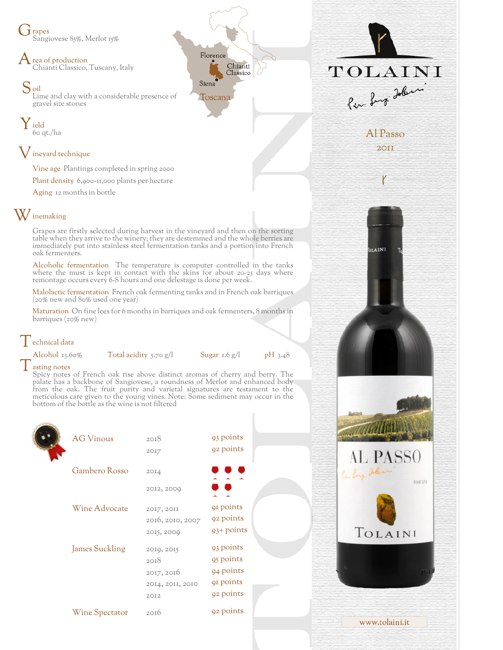J rapes Sangiovese 85%, Merlot 15%

rea of production Chianti Classico, Tuscany, Italy

Soil Lime and clay with a considerable presence of gravel size stones

Y ield 60 qt./ha

## ${\mathsf V}$  ineyard technique

Vine age Plantings completed in spring 2000

Plant density 6,900-11,000 plants per hectare

Aging 12 months in bottle

## $\rm W$  inemaking

Grapes are firstly selected during harvest in the vineyard and then on the sorting table when they arrive to the winery; they are destemmed and the whole berries are immediately put into stainless steel fermentation tanks and a portion into French oak fermenters.

Alcoholic fermentation The temperature is computer controlled in the tanks where the must is kept in contact with the skins for about 20-25 days where remontage occurs every 6-8 hours and one delestage is done per week.

Malolactic fermentation French oak fermenting tanks and in French oak barriques (20% new and 80% used one year)

Maturation On fine lees for 6 months in barriques and oak fermenters, 8 months in barriques (20% new)

## echnical data<br>Alcohol 13.60%

Total acidity 5.70 g/l Sugar 1.6 g/l pH 3.48

asting notes

Spicy notes of French oak rise above distinct aromas of cherry and berry. The palate has a backbone of Sangiovese, a roundness of Merlot and enhanced body from the oak. The fruit purity and varietal signatures are testament to the meticulous care given to the young vines. Note: Some sediment may occur in the bottom of the bottle as the wine is not filtered

| <b>AG Vinous</b>      | 20I8             | 93 points             |
|-----------------------|------------------|-----------------------|
|                       | 2017             | 92 points             |
| Gambero Rosso         |                  |                       |
|                       | 20I4             | T T T                 |
|                       | 2012, 2009       | o o                   |
| Wine Advocate         | 2017, 2011       | 91 points             |
|                       | 2016, 2010, 2007 | 92 points             |
|                       | 2015, 2009       | 93+ points            |
| <b>James Suckling</b> | 2019, 2015       | 93 points             |
|                       | 2018             | 95 points             |
|                       | 2017, 2016       | 94 points             |
|                       | 2014, 2011, 2010 | q <sub>1</sub> points |
|                       | 2012             | 92 points             |
| Wine Spectator        | 2016             | 92 points             |
|                       |                  |                       |



Al Passo 2011

OLAINI

**AL PASSO** 

TOLAINI

www.tolaini.it

TOSCANA

TOLAINI

Per Lugi Jobin